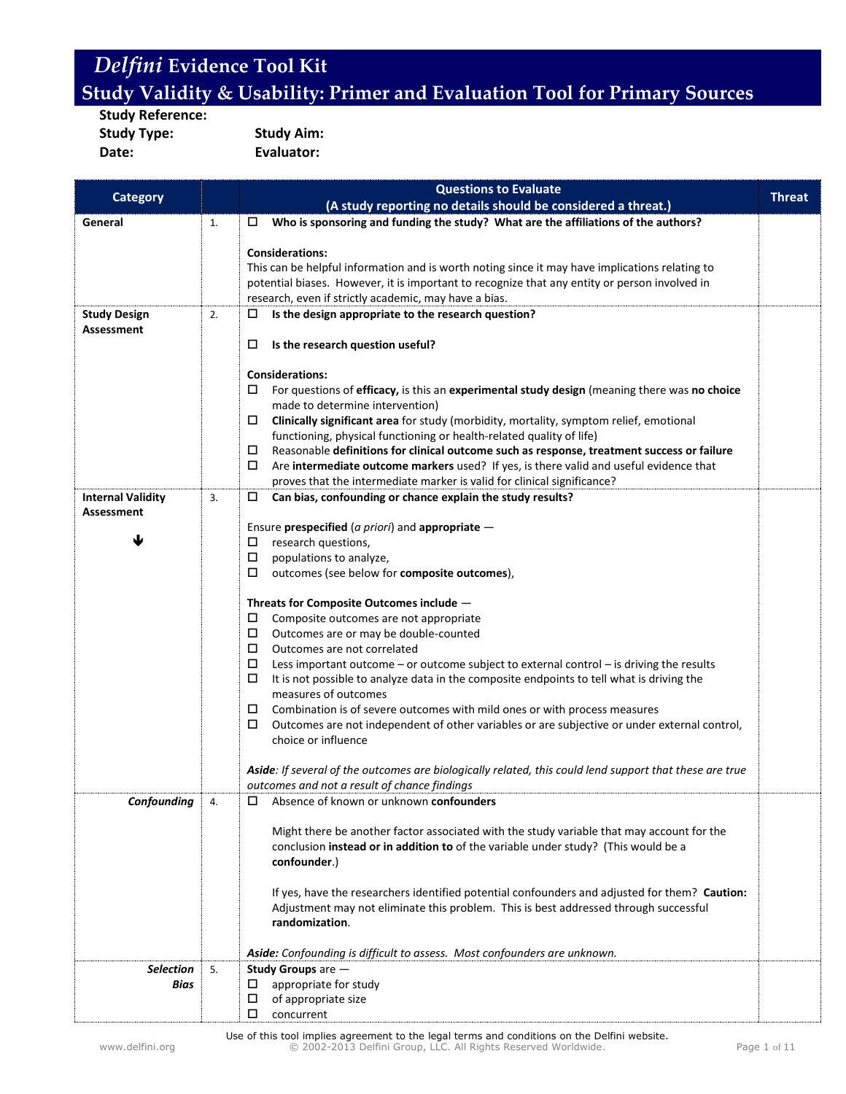**Study Reference: Study Type: Study Aim: Date: Evaluator:**

|                          |    | <b>Questions to Evaluate</b>                                                                                                  |               |
|--------------------------|----|-------------------------------------------------------------------------------------------------------------------------------|---------------|
| <b>Category</b>          |    | (A study reporting no details should be considered a threat.)                                                                 | <b>Threat</b> |
| General                  | 1. | Who is sponsoring and funding the study? What are the affiliations of the authors?<br>□                                       |               |
|                          |    |                                                                                                                               |               |
|                          |    | <b>Considerations:</b>                                                                                                        |               |
|                          |    | This can be helpful information and is worth noting since it may have implications relating to                                |               |
|                          |    | potential biases. However, it is important to recognize that any entity or person involved in                                 |               |
|                          |    | research, even if strictly academic, may have a bias.                                                                         |               |
| <b>Study Design</b>      | 2. | Is the design appropriate to the research question?<br>ц                                                                      |               |
| <b>Assessment</b>        |    |                                                                                                                               |               |
|                          |    | □<br>Is the research question useful?                                                                                         |               |
|                          |    | <b>Considerations:</b>                                                                                                        |               |
|                          |    | 0<br>For questions of efficacy, is this an experimental study design (meaning there was no choice                             |               |
|                          |    | made to determine intervention)                                                                                               |               |
|                          |    | Clinically significant area for study (morbidity, mortality, symptom relief, emotional<br>0                                   |               |
|                          |    | functioning, physical functioning or health-related quality of life)                                                          |               |
|                          |    | Reasonable definitions for clinical outcome such as response, treatment success or failure                                    |               |
|                          |    | 0<br>Are intermediate outcome markers used? If yes, is there valid and useful evidence that                                   |               |
|                          |    | proves that the intermediate marker is valid for clinical significance?                                                       |               |
| <b>Internal Validity</b> | 3. | Can bias, confounding or chance explain the study results?<br>□                                                               |               |
| <b>Assessment</b>        |    |                                                                                                                               |               |
|                          |    | Ensure prespecified (a priori) and appropriate -                                                                              |               |
|                          |    | research questions,<br>0                                                                                                      |               |
|                          |    | $\Box$<br>populations to analyze,                                                                                             |               |
|                          |    | $\Box$<br>outcomes (see below for composite outcomes),                                                                        |               |
|                          |    |                                                                                                                               |               |
|                          |    | Threats for Composite Outcomes include -                                                                                      |               |
|                          |    | 0<br>Composite outcomes are not appropriate                                                                                   |               |
|                          |    | $\Box$<br>Outcomes are or may be double-counted                                                                               |               |
|                          |    | Outcomes are not correlated                                                                                                   |               |
|                          |    | $\Box$<br>Less important outcome - or outcome subject to external control - is driving the results                            |               |
|                          |    | $\Box$<br>It is not possible to analyze data in the composite endpoints to tell what is driving the                           |               |
|                          |    | measures of outcomes                                                                                                          |               |
|                          |    | Combination is of severe outcomes with mild ones or with process measures<br>0                                                |               |
|                          |    | $\Box$<br>Outcomes are not independent of other variables or are subjective or under external control,<br>choice or influence |               |
|                          |    |                                                                                                                               |               |
|                          |    | Aside: If several of the outcomes are biologically related, this could lend support that these are true                       |               |
|                          |    | outcomes and not a result of chance findings                                                                                  |               |
| Confounding              | 4. | Absence of known or unknown confounders<br>□                                                                                  |               |
|                          |    |                                                                                                                               |               |
|                          |    | Might there be another factor associated with the study variable that may account for the                                     |               |
|                          |    | conclusion instead or in addition to of the variable under study? (This would be a                                            |               |
|                          |    | confounder.)                                                                                                                  |               |
|                          |    |                                                                                                                               |               |
|                          |    | If yes, have the researchers identified potential confounders and adjusted for them? Caution:                                 |               |
|                          |    | Adjustment may not eliminate this problem. This is best addressed through successful                                          |               |
|                          |    | randomization.                                                                                                                |               |
|                          |    |                                                                                                                               |               |
|                          |    | Aside: Confounding is difficult to assess. Most confounders are unknown.                                                      |               |
| <b>Selection</b>         | 5. | Study Groups are -                                                                                                            |               |
| Bias                     |    | appropriate for study<br>□                                                                                                    |               |
|                          |    | $\Box$<br>of appropriate size                                                                                                 |               |
|                          |    | □<br>concurrent                                                                                                               |               |

Use of this tool implies agreement to the legal terms and conditions on the Delfini website. www.delfini.org © 2002-2013 Delfini Group, LLC. All Rights Reserved Worldwide. Page 1 of 11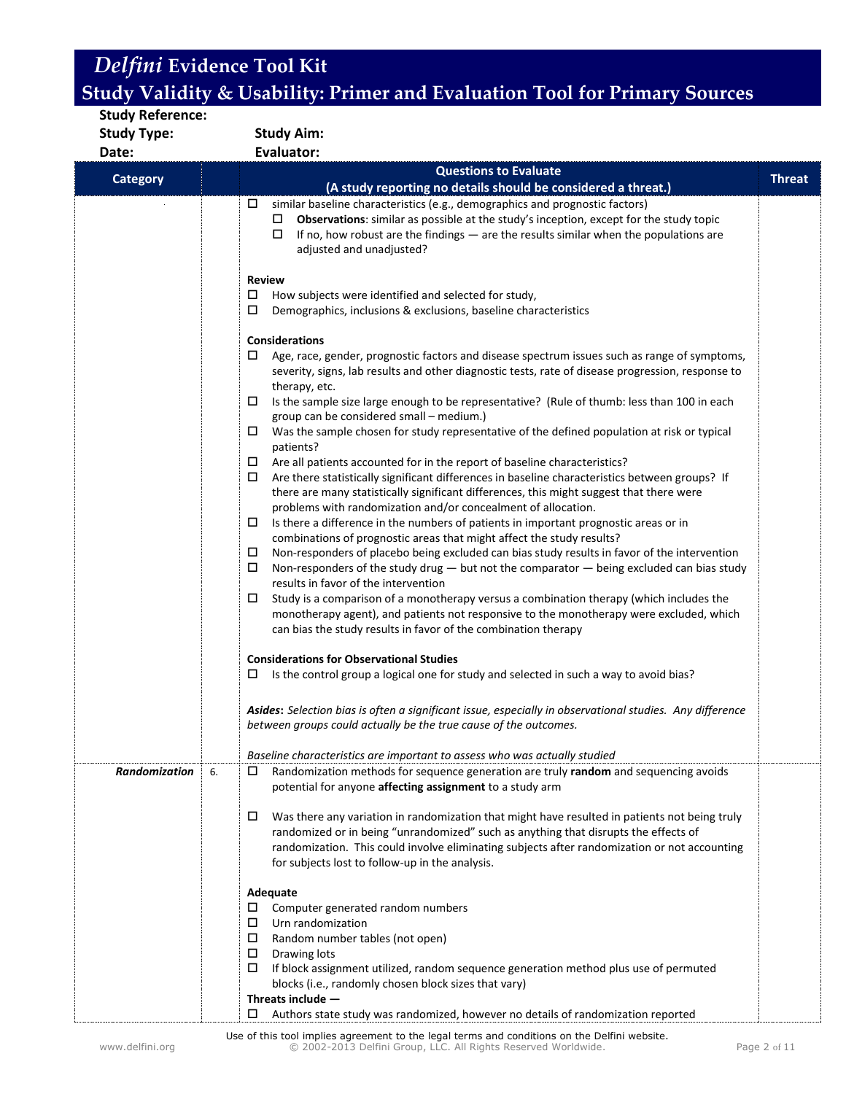| <b>Study Reference:</b> |                                                                                                                                                                                     |               |
|-------------------------|-------------------------------------------------------------------------------------------------------------------------------------------------------------------------------------|---------------|
| <b>Study Type:</b>      | <b>Study Aim:</b>                                                                                                                                                                   |               |
| Date:                   | Evaluator:                                                                                                                                                                          |               |
| <b>Category</b>         | <b>Questions to Evaluate</b>                                                                                                                                                        | <b>Threat</b> |
|                         | (A study reporting no details should be considered a threat.)                                                                                                                       |               |
|                         | similar baseline characteristics (e.g., demographics and prognostic factors)<br>□                                                                                                   |               |
|                         | Observations: similar as possible at the study's inception, except for the study topic<br>ப                                                                                         |               |
|                         | If no, how robust are the findings $-$ are the results similar when the populations are<br>□                                                                                        |               |
|                         | adjusted and unadjusted?                                                                                                                                                            |               |
|                         | <b>Review</b>                                                                                                                                                                       |               |
|                         | □<br>How subjects were identified and selected for study,                                                                                                                           |               |
|                         | □<br>Demographics, inclusions & exclusions, baseline characteristics                                                                                                                |               |
|                         |                                                                                                                                                                                     |               |
|                         | <b>Considerations</b>                                                                                                                                                               |               |
|                         | □<br>Age, race, gender, prognostic factors and disease spectrum issues such as range of symptoms,                                                                                   |               |
|                         | severity, signs, lab results and other diagnostic tests, rate of disease progression, response to                                                                                   |               |
|                         | therapy, etc.                                                                                                                                                                       |               |
|                         | □<br>Is the sample size large enough to be representative? (Rule of thumb: less than 100 in each                                                                                    |               |
|                         | group can be considered small - medium.)<br>Was the sample chosen for study representative of the defined population at risk or typical                                             |               |
|                         | □<br>patients?                                                                                                                                                                      |               |
|                         | Are all patients accounted for in the report of baseline characteristics?<br>$\Box$                                                                                                 |               |
|                         | Are there statistically significant differences in baseline characteristics between groups? If<br>□                                                                                 |               |
|                         | there are many statistically significant differences, this might suggest that there were                                                                                            |               |
|                         | problems with randomization and/or concealment of allocation.                                                                                                                       |               |
|                         | Is there a difference in the numbers of patients in important prognostic areas or in<br>□                                                                                           |               |
|                         | combinations of prognostic areas that might affect the study results?                                                                                                               |               |
|                         | Non-responders of placebo being excluded can bias study results in favor of the intervention<br>□                                                                                   |               |
|                         | □<br>Non-responders of the study drug $-$ but not the comparator $-$ being excluded can bias study                                                                                  |               |
|                         | results in favor of the intervention                                                                                                                                                |               |
|                         | Study is a comparison of a monotherapy versus a combination therapy (which includes the<br>□                                                                                        |               |
|                         | monotherapy agent), and patients not responsive to the monotherapy were excluded, which<br>can bias the study results in favor of the combination therapy                           |               |
|                         |                                                                                                                                                                                     |               |
|                         | <b>Considerations for Observational Studies</b>                                                                                                                                     |               |
|                         | Is the control group a logical one for study and selected in such a way to avoid bias?<br>□                                                                                         |               |
|                         |                                                                                                                                                                                     |               |
|                         | Asides: Selection bias is often a significant issue, especially in observational studies. Any difference                                                                            |               |
|                         | between groups could actually be the true cause of the outcomes.                                                                                                                    |               |
|                         |                                                                                                                                                                                     |               |
|                         | Baseline characteristics are important to assess who was actually studied                                                                                                           |               |
| Randomization           | Randomization methods for sequence generation are truly random and sequencing avoids<br>6.                                                                                          |               |
|                         | potential for anyone affecting assignment to a study arm                                                                                                                            |               |
|                         |                                                                                                                                                                                     |               |
|                         | Was there any variation in randomization that might have resulted in patients not being truly<br>0                                                                                  |               |
|                         | randomized or in being "unrandomized" such as anything that disrupts the effects of<br>randomization. This could involve eliminating subjects after randomization or not accounting |               |
|                         | for subjects lost to follow-up in the analysis.                                                                                                                                     |               |
|                         |                                                                                                                                                                                     |               |
|                         | Adequate                                                                                                                                                                            |               |
|                         | $\square$ Computer generated random numbers                                                                                                                                         |               |
|                         | Urn randomization<br>□                                                                                                                                                              |               |
|                         | $\Box$<br>Random number tables (not open)                                                                                                                                           |               |
|                         | Drawing lots                                                                                                                                                                        |               |
|                         | $\Box$<br>If block assignment utilized, random sequence generation method plus use of permuted                                                                                      |               |
|                         | blocks (i.e., randomly chosen block sizes that vary)                                                                                                                                |               |
|                         | Threats include -                                                                                                                                                                   |               |
|                         | Authors state study was randomized, however no details of randomization reported<br>□                                                                                               |               |

Use of this tool implies agreement to the legal terms and conditions on the Delfini website.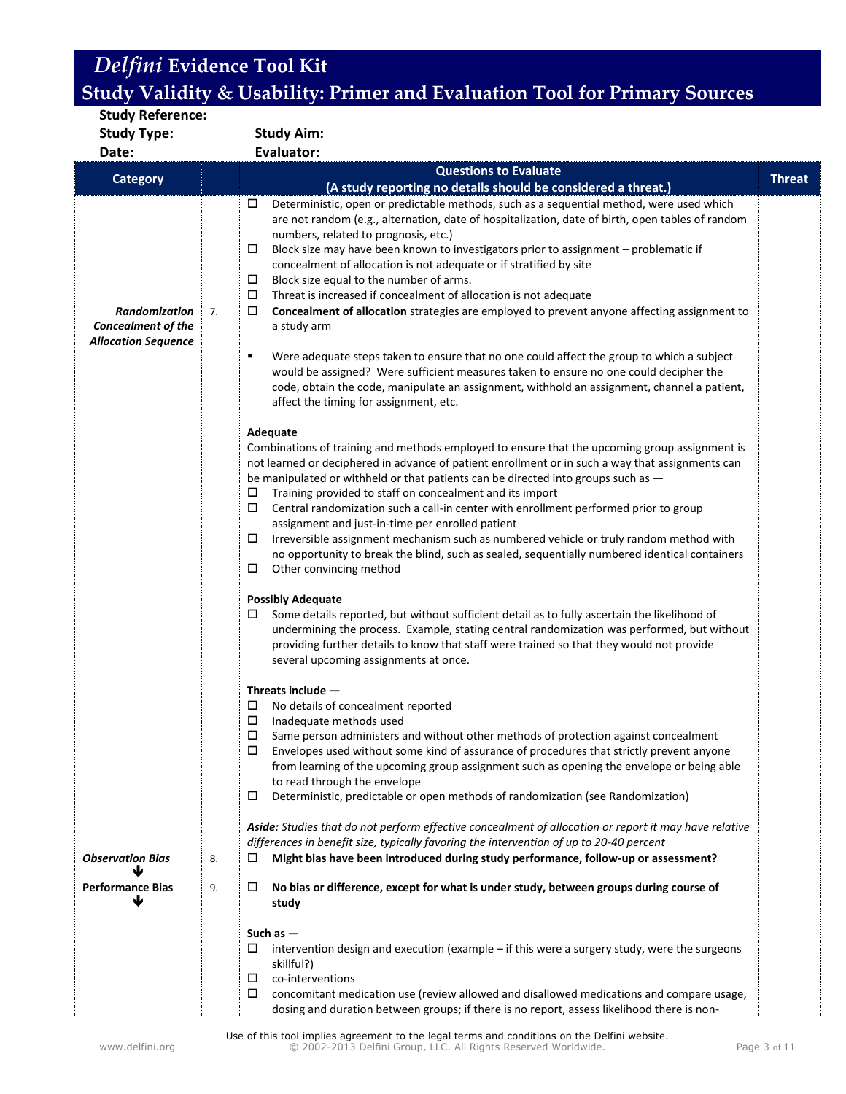| Study Reference:<br><b>Study Type:</b>                                          | <b>Study Aim:</b>                                                                                                                                                                                                                                                                                                                                                                                                                                                                                                                                                                                                                                                                                                                                                                                                                                                                                                                                                                                                                                                                                                                                                                                                                                                                                                                                                                                                                                                                                                                              |  |
|---------------------------------------------------------------------------------|------------------------------------------------------------------------------------------------------------------------------------------------------------------------------------------------------------------------------------------------------------------------------------------------------------------------------------------------------------------------------------------------------------------------------------------------------------------------------------------------------------------------------------------------------------------------------------------------------------------------------------------------------------------------------------------------------------------------------------------------------------------------------------------------------------------------------------------------------------------------------------------------------------------------------------------------------------------------------------------------------------------------------------------------------------------------------------------------------------------------------------------------------------------------------------------------------------------------------------------------------------------------------------------------------------------------------------------------------------------------------------------------------------------------------------------------------------------------------------------------------------------------------------------------|--|
| Date:                                                                           | <b>Evaluator:</b>                                                                                                                                                                                                                                                                                                                                                                                                                                                                                                                                                                                                                                                                                                                                                                                                                                                                                                                                                                                                                                                                                                                                                                                                                                                                                                                                                                                                                                                                                                                              |  |
| <b>Category</b>                                                                 | <b>Questions to Evaluate</b><br><b>Threat</b>                                                                                                                                                                                                                                                                                                                                                                                                                                                                                                                                                                                                                                                                                                                                                                                                                                                                                                                                                                                                                                                                                                                                                                                                                                                                                                                                                                                                                                                                                                  |  |
|                                                                                 | (A study reporting no details should be considered a threat.)                                                                                                                                                                                                                                                                                                                                                                                                                                                                                                                                                                                                                                                                                                                                                                                                                                                                                                                                                                                                                                                                                                                                                                                                                                                                                                                                                                                                                                                                                  |  |
| <b>Randomization</b><br><b>Concealment of the</b><br><b>Allocation Sequence</b> | Deterministic, open or predictable methods, such as a sequential method, were used which<br>□<br>are not random (e.g., alternation, date of hospitalization, date of birth, open tables of random<br>numbers, related to prognosis, etc.)<br>Block size may have been known to investigators prior to assignment - problematic if<br>□<br>concealment of allocation is not adequate or if stratified by site<br>□<br>Block size equal to the number of arms.<br>$\Box$<br>Threat is increased if concealment of allocation is not adequate<br>$\Box$<br>Concealment of allocation strategies are employed to prevent anyone affecting assignment to<br>7.<br>a study arm<br>٠<br>Were adequate steps taken to ensure that no one could affect the group to which a subject<br>would be assigned? Were sufficient measures taken to ensure no one could decipher the<br>code, obtain the code, manipulate an assignment, withhold an assignment, channel a patient,<br>affect the timing for assignment, etc.<br>Adequate<br>Combinations of training and methods employed to ensure that the upcoming group assignment is<br>not learned or deciphered in advance of patient enrollment or in such a way that assignments can<br>be manipulated or withheld or that patients can be directed into groups such as -<br>$\Box$<br>Training provided to staff on concealment and its import<br>$\Box$<br>Central randomization such a call-in center with enrollment performed prior to group<br>assignment and just-in-time per enrolled patient |  |
|                                                                                 | □<br>Irreversible assignment mechanism such as numbered vehicle or truly random method with<br>no opportunity to break the blind, such as sealed, sequentially numbered identical containers<br>□<br>Other convincing method<br><b>Possibly Adequate</b><br>□<br>Some details reported, but without sufficient detail as to fully ascertain the likelihood of<br>undermining the process. Example, stating central randomization was performed, but without<br>providing further details to know that staff were trained so that they would not provide<br>several upcoming assignments at once.<br>Threats include -<br>No details of concealment reported<br>□<br>□<br>Inadequate methods used<br>$\Box$<br>Same person administers and without other methods of protection against concealment<br>Envelopes used without some kind of assurance of procedures that strictly prevent anyone<br>from learning of the upcoming group assignment such as opening the envelope or being able<br>to read through the envelope<br>Deterministic, predictable or open methods of randomization (see Randomization)<br>□<br>Aside: Studies that do not perform effective concealment of allocation or report it may have relative                                                                                                                                                                                                                                                                                                                    |  |
| <b>Observation Bias</b>                                                         | differences in benefit size, typically favoring the intervention of up to 20-40 percent<br>Might bias have been introduced during study performance, follow-up or assessment?<br>8.<br>□                                                                                                                                                                                                                                                                                                                                                                                                                                                                                                                                                                                                                                                                                                                                                                                                                                                                                                                                                                                                                                                                                                                                                                                                                                                                                                                                                       |  |
|                                                                                 |                                                                                                                                                                                                                                                                                                                                                                                                                                                                                                                                                                                                                                                                                                                                                                                                                                                                                                                                                                                                                                                                                                                                                                                                                                                                                                                                                                                                                                                                                                                                                |  |
| <b>Performance Bias</b>                                                         | No bias or difference, except for what is under study, between groups during course of<br>9.<br>□<br>study<br>Such as $-$<br>intervention design and execution (example – if this were a surgery study, were the surgeons<br>□<br>skillful?)<br>co-interventions<br>□<br>□<br>concomitant medication use (review allowed and disallowed medications and compare usage,<br>dosing and duration between groups; if there is no report, assess likelihood there is non-                                                                                                                                                                                                                                                                                                                                                                                                                                                                                                                                                                                                                                                                                                                                                                                                                                                                                                                                                                                                                                                                           |  |

Use of this tool implies agreement to the legal terms and conditions on the Delfini website. www.delfini.org © 2002-2013 Delfini Group, LLC. All Rights Reserved Worldwide. Page 3 of 11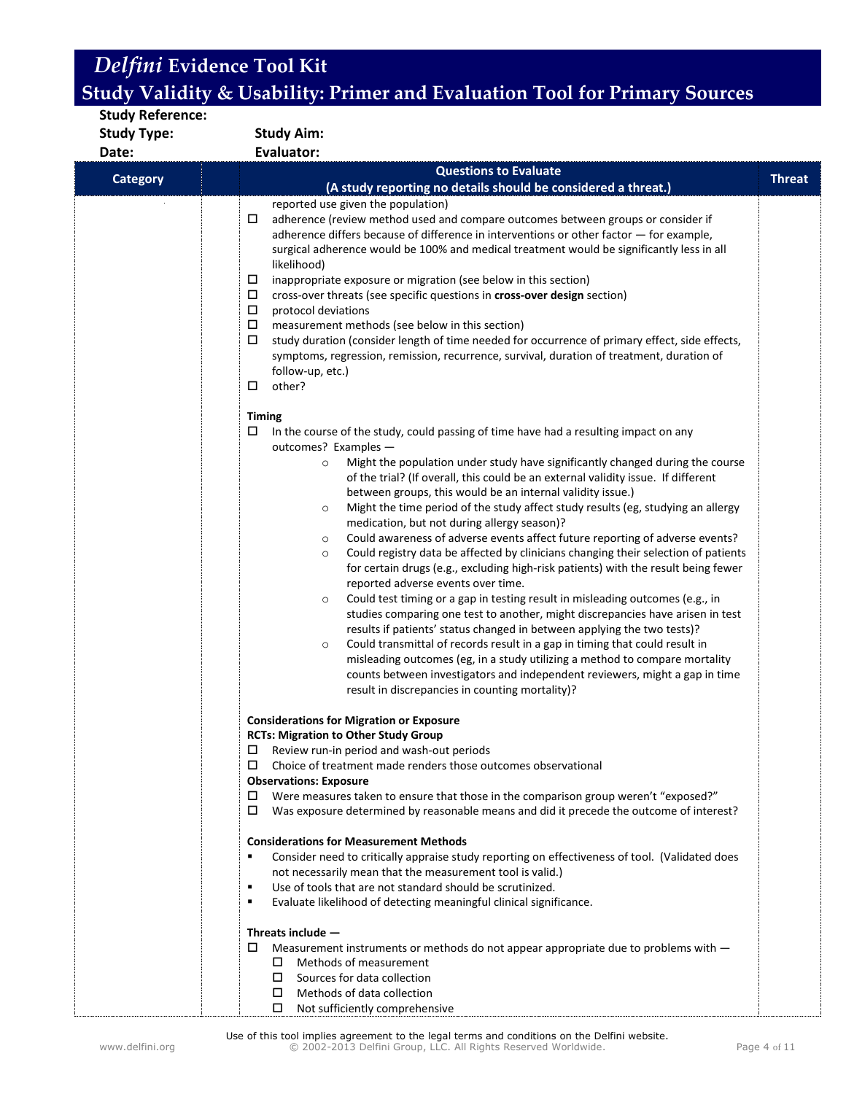| <b>Study Reference:</b> |                                                                                                                                                                                                                                                                                                                                                                                                                                                                                                                                                                                                                                                                                                                                                                                                                                                                                                                                                                                                                                                                                                                                                                                                                                                                                                                                                                                                                             |               |
|-------------------------|-----------------------------------------------------------------------------------------------------------------------------------------------------------------------------------------------------------------------------------------------------------------------------------------------------------------------------------------------------------------------------------------------------------------------------------------------------------------------------------------------------------------------------------------------------------------------------------------------------------------------------------------------------------------------------------------------------------------------------------------------------------------------------------------------------------------------------------------------------------------------------------------------------------------------------------------------------------------------------------------------------------------------------------------------------------------------------------------------------------------------------------------------------------------------------------------------------------------------------------------------------------------------------------------------------------------------------------------------------------------------------------------------------------------------------|---------------|
| <b>Study Type:</b>      | <b>Study Aim:</b>                                                                                                                                                                                                                                                                                                                                                                                                                                                                                                                                                                                                                                                                                                                                                                                                                                                                                                                                                                                                                                                                                                                                                                                                                                                                                                                                                                                                           |               |
| Date:                   | <b>Evaluator:</b>                                                                                                                                                                                                                                                                                                                                                                                                                                                                                                                                                                                                                                                                                                                                                                                                                                                                                                                                                                                                                                                                                                                                                                                                                                                                                                                                                                                                           |               |
| <b>Category</b>         | <b>Questions to Evaluate</b>                                                                                                                                                                                                                                                                                                                                                                                                                                                                                                                                                                                                                                                                                                                                                                                                                                                                                                                                                                                                                                                                                                                                                                                                                                                                                                                                                                                                | <b>Threat</b> |
|                         | (A study reporting no details should be considered a threat.)                                                                                                                                                                                                                                                                                                                                                                                                                                                                                                                                                                                                                                                                                                                                                                                                                                                                                                                                                                                                                                                                                                                                                                                                                                                                                                                                                               |               |
|                         | reported use given the population)<br>□<br>adherence (review method used and compare outcomes between groups or consider if<br>adherence differs because of difference in interventions or other factor - for example,<br>surgical adherence would be 100% and medical treatment would be significantly less in all<br>likelihood)<br>inappropriate exposure or migration (see below in this section)<br>□<br>□<br>cross-over threats (see specific questions in cross-over design section)<br>Д<br>protocol deviations<br>□<br>measurement methods (see below in this section)<br>□<br>study duration (consider length of time needed for occurrence of primary effect, side effects,<br>symptoms, regression, remission, recurrence, survival, duration of treatment, duration of<br>follow-up, etc.)<br>other?<br>□                                                                                                                                                                                                                                                                                                                                                                                                                                                                                                                                                                                                      |               |
|                         | <b>Timing</b><br>In the course of the study, could passing of time have had a resulting impact on any<br>□<br>outcomes? Examples -<br>Might the population under study have significantly changed during the course<br>$\circ$<br>of the trial? (If overall, this could be an external validity issue. If different<br>between groups, this would be an internal validity issue.)<br>Might the time period of the study affect study results (eg, studying an allergy<br>$\circ$<br>medication, but not during allergy season)?<br>Could awareness of adverse events affect future reporting of adverse events?<br>$\circ$<br>Could registry data be affected by clinicians changing their selection of patients<br>$\circ$<br>for certain drugs (e.g., excluding high-risk patients) with the result being fewer<br>reported adverse events over time.<br>Could test timing or a gap in testing result in misleading outcomes (e.g., in<br>$\circ$<br>studies comparing one test to another, might discrepancies have arisen in test<br>results if patients' status changed in between applying the two tests)?<br>Could transmittal of records result in a gap in timing that could result in<br>$\circ$<br>misleading outcomes (eg, in a study utilizing a method to compare mortality<br>counts between investigators and independent reviewers, might a gap in time<br>result in discrepancies in counting mortality)? |               |
|                         | <b>Considerations for Migration or Exposure</b><br><b>RCTs: Migration to Other Study Group</b><br>Review run-in period and wash-out periods<br>□<br>Choice of treatment made renders those outcomes observational<br>□<br><b>Observations: Exposure</b><br>Were measures taken to ensure that those in the comparison group weren't "exposed?"<br>□<br>□<br>Was exposure determined by reasonable means and did it precede the outcome of interest?<br><b>Considerations for Measurement Methods</b><br>Consider need to critically appraise study reporting on effectiveness of tool. (Validated does<br>not necessarily mean that the measurement tool is valid.)<br>Use of tools that are not standard should be scrutinized.<br>٠<br>Evaluate likelihood of detecting meaningful clinical significance.<br>٠<br>Threats include $-$<br>Measurement instruments or methods do not appear appropriate due to problems with -<br>□<br>Methods of measurement<br>□<br>Sources for data collection<br>Methods of data collection<br>□                                                                                                                                                                                                                                                                                                                                                                                        |               |

Use of this tool implies agreement to the legal terms and conditions on the Delfini website. www.delfini.org © 2002-2013 Delfini Group, LLC. All Rights Reserved Worldwide. Page 4 of 11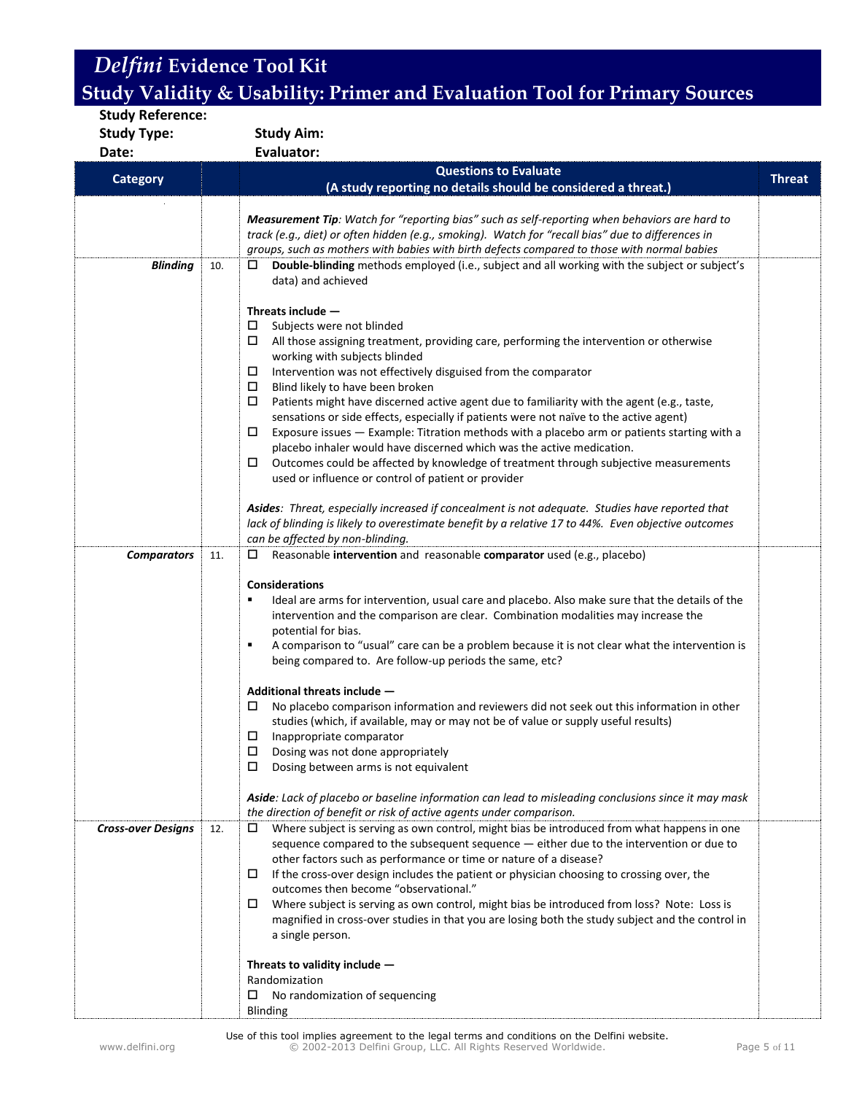**Study Reference: Study Type: Study Aim: Date: Evaluator: Category Questions to Evaluate (A study reporting no details should be considered a threat.) Threat** *Measurement Tip: Watch for "reporting bias" such as self-reporting when behaviors are hard to track (e.g., diet) or often hidden (e.g., smoking). Watch for "recall bias" due to differences in groups, such as mothers with babies with birth defects compared to those with normal babies* **Blinding** | 10.  $\Box$  **Double-blinding** methods employed (i.e., subject and all working with the subject or subject's data) and achieved **Threats include ―**   $\square$  Subjects were not blinded  $\Box$  All those assigning treatment, providing care, performing the intervention or otherwise working with subjects blinded  $\Box$  Intervention was not effectively disguised from the comparator  $\square$  Blind likely to have been broken<br> $\square$  Patients might have discerned a Patients might have discerned active agent due to familiarity with the agent (e.g., taste, sensations or side effects, especially if patients were not naïve to the active agent)  $\square$  Exposure issues  $-$  Example: Titration methods with a placebo arm or patients starting with a placebo inhaler would have discerned which was the active medication.  $\square$  Outcomes could be affected by knowledge of treatment through subjective measurements used or influence or control of patient or provider *Asides: Threat, especially increased if concealment is not adequate. Studies have reported that lack of blinding is likely to overestimate benefit by a relative 17 to 44%. Even objective outcomes can be affected by non-blinding.* **Comparators** 11. □ Reasonable intervention and reasonable comparator used (e.g., placebo) **Considerations** Ideal are arms for intervention, usual care and placebo. Also make sure that the details of the intervention and the comparison are clear. Combination modalities may increase the potential for bias. A comparison to "usual" care can be a problem because it is not clear what the intervention is being compared to. Are follow-up periods the same, etc? **Additional threats include ―**   $\Box$  No placebo comparison information and reviewers did not seek out this information in other studies (which, if available, may or may not be of value or supply useful results)  $\Box$  Inappropriate comparator  $\square$  Dosing was not done appropriately  $\square$  Dosing between arms is not equivalent *Aside: Lack of placebo or baseline information can lead to misleading conclusions since it may mask the direction of benefit or risk of active agents under comparison. Cross-over Designs* | 12. | □ Where subject is serving as own control, might bias be introduced from what happens in one sequence compared to the subsequent sequence — either due to the intervention or due to other factors such as performance or time or nature of a disease?  $\Box$  If the cross-over design includes the patient or physician choosing to crossing over, the outcomes then become "observational."  $\Box$  Where subject is serving as own control, might bias be introduced from loss? Note: Loss is magnified in cross-over studies in that you are losing both the study subject and the control in a single person. **Threats to validity include ―** Randomization  $\square$  No randomization of sequencing Blinding

Use of this tool implies agreement to the legal terms and conditions on the Delfini website. www.delfini.org © 2002-2013 Delfini Group, LLC. All Rights Reserved Worldwide. Page 5 of 11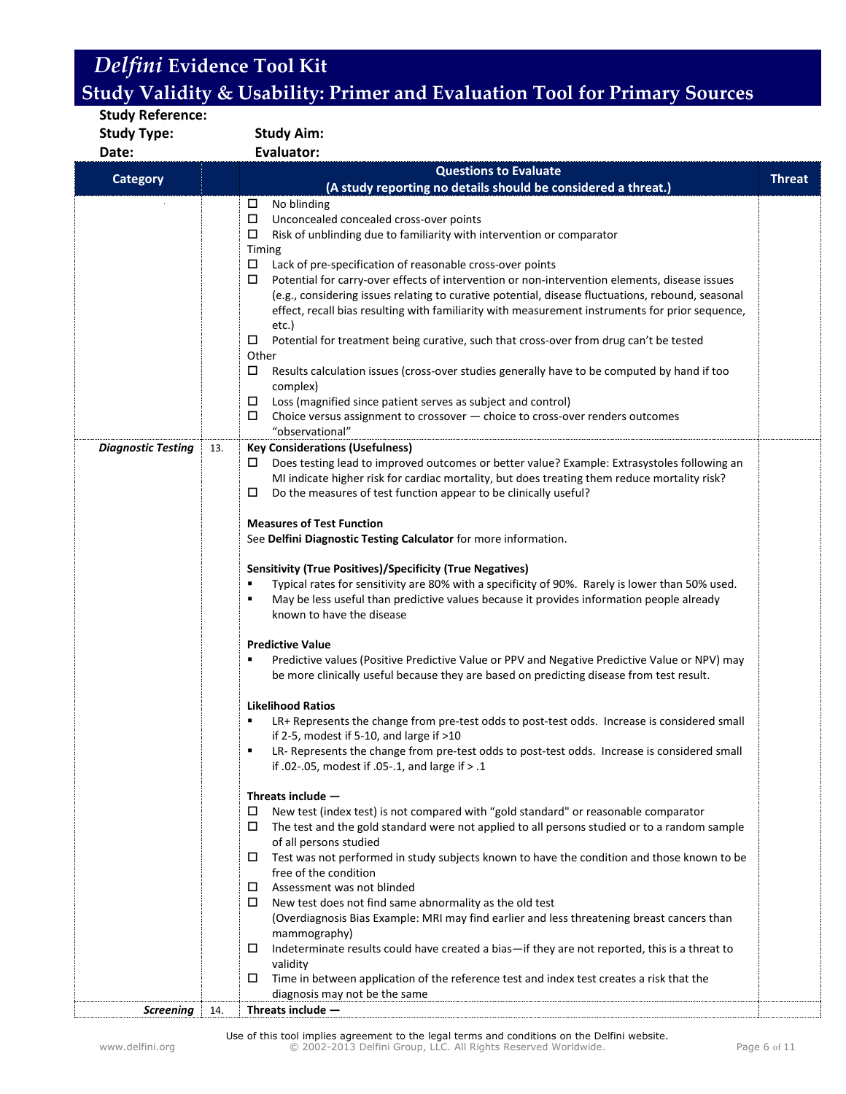| <b>Study Aim:</b><br><b>Study Type:</b><br><b>Evaluator:</b><br>Date:<br><b>Questions to Evaluate</b><br><b>Category</b><br>(A study reporting no details should be considered a threat.)                                                                                                                                                                                                                                                                                                                                                                                                                                                                                                                                                                                                                                                                                                                                                                                                                                                                                | <b>Threat</b> |
|--------------------------------------------------------------------------------------------------------------------------------------------------------------------------------------------------------------------------------------------------------------------------------------------------------------------------------------------------------------------------------------------------------------------------------------------------------------------------------------------------------------------------------------------------------------------------------------------------------------------------------------------------------------------------------------------------------------------------------------------------------------------------------------------------------------------------------------------------------------------------------------------------------------------------------------------------------------------------------------------------------------------------------------------------------------------------|---------------|
|                                                                                                                                                                                                                                                                                                                                                                                                                                                                                                                                                                                                                                                                                                                                                                                                                                                                                                                                                                                                                                                                          |               |
|                                                                                                                                                                                                                                                                                                                                                                                                                                                                                                                                                                                                                                                                                                                                                                                                                                                                                                                                                                                                                                                                          |               |
|                                                                                                                                                                                                                                                                                                                                                                                                                                                                                                                                                                                                                                                                                                                                                                                                                                                                                                                                                                                                                                                                          |               |
| No blinding<br>$\Box$<br>□<br>Unconcealed concealed cross-over points<br>Risk of unblinding due to familiarity with intervention or comparator<br>□<br>Timing<br>$\Box$<br>Lack of pre-specification of reasonable cross-over points<br>Potential for carry-over effects of intervention or non-intervention elements, disease issues<br>$\Box$<br>(e.g., considering issues relating to curative potential, disease fluctuations, rebound, seasonal<br>effect, recall bias resulting with familiarity with measurement instruments for prior sequence,<br>etc.)<br>Potential for treatment being curative, such that cross-over from drug can't be tested<br>0<br>Other<br>$\Box$<br>Results calculation issues (cross-over studies generally have to be computed by hand if too<br>complex)<br>□<br>Loss (magnified since patient serves as subject and control)<br>□<br>Choice versus assignment to crossover - choice to cross-over renders outcomes<br>"observational"                                                                                              |               |
| <b>Diagnostic Testing</b><br><b>Key Considerations (Usefulness)</b><br>13.<br>Does testing lead to improved outcomes or better value? Example: Extrasystoles following an<br>⊔<br>MI indicate higher risk for cardiac mortality, but does treating them reduce mortality risk?<br>□<br>Do the measures of test function appear to be clinically useful?<br><b>Measures of Test Function</b><br>See Delfini Diagnostic Testing Calculator for more information.<br><b>Sensitivity (True Positives)/Specificity (True Negatives)</b><br>Typical rates for sensitivity are 80% with a specificity of 90%. Rarely is lower than 50% used.<br>٠<br>May be less useful than predictive values because it provides information people already<br>п<br>known to have the disease<br><b>Predictive Value</b><br>Predictive values (Positive Predictive Value or PPV and Negative Predictive Value or NPV) may<br>٠<br>be more clinically useful because they are based on predicting disease from test result.                                                                    |               |
| <b>Likelihood Ratios</b><br>LR+ Represents the change from pre-test odds to post-test odds. Increase is considered small<br>٠<br>if 2-5, modest if 5-10, and large if $>10$<br>LR- Represents the change from pre-test odds to post-test odds. Increase is considered small<br>٠<br>if .02-.05, modest if .05-.1, and large if $> .1$<br>Threats include -<br>New test (index test) is not compared with "gold standard" or reasonable comparator<br>$\Box$<br>The test and the gold standard were not applied to all persons studied or to a random sample<br>□<br>of all persons studied<br>Test was not performed in study subjects known to have the condition and those known to be<br>□<br>free of the condition<br>Assessment was not blinded<br>$\Box$<br>New test does not find same abnormality as the old test<br>$\Box$<br>(Overdiagnosis Bias Example: MRI may find earlier and less threatening breast cancers than<br>mammography)<br>$\Box$<br>Indeterminate results could have created a bias—if they are not reported, this is a threat to<br>validity |               |
| Time in between application of the reference test and index test creates a risk that the<br>□<br>diagnosis may not be the same<br><b>Screening</b><br>Threats include $-$<br>14.                                                                                                                                                                                                                                                                                                                                                                                                                                                                                                                                                                                                                                                                                                                                                                                                                                                                                         |               |

Use of this tool implies agreement to the legal terms and conditions on the Delfini website. www.delfini.org © 2002-2013 Delfini Group, LLC. All Rights Reserved Worldwide. Page 6 of 11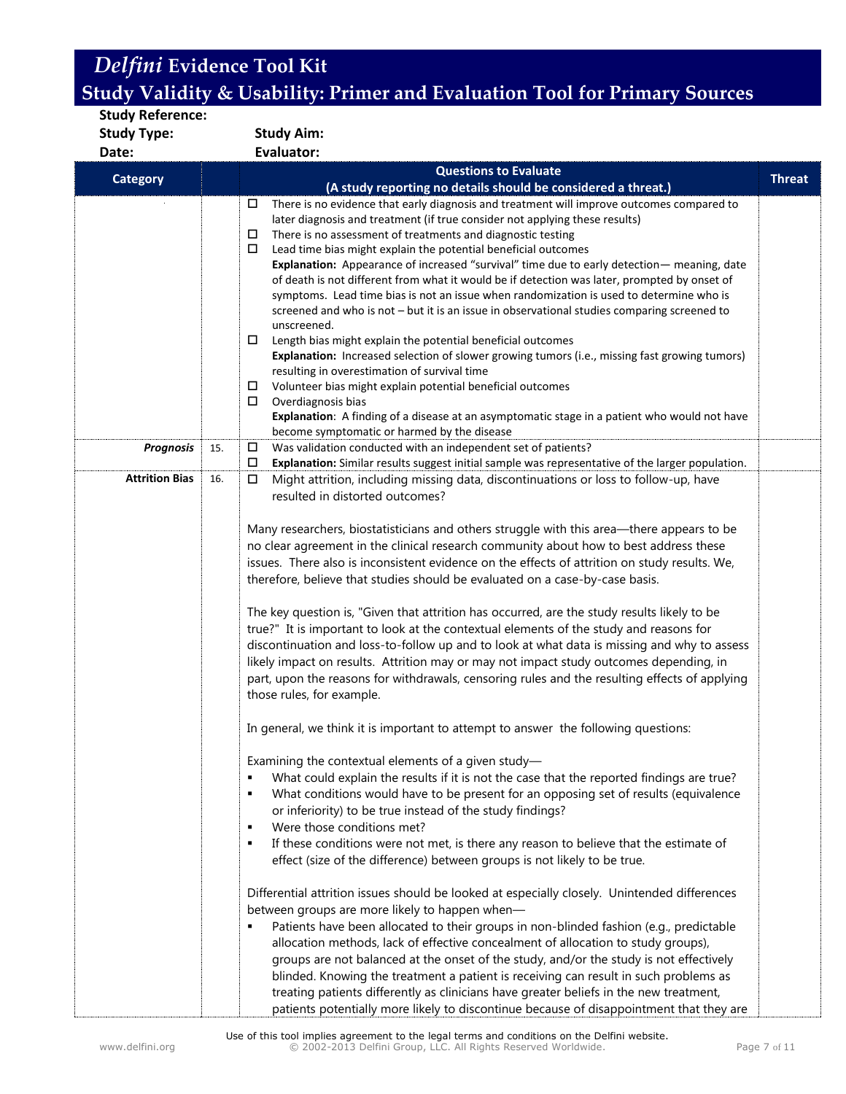| <b>Study Reference:</b> |                                                                                                                                                                                                                                                                                                                                                                                                                                                                                                                                                                                                                                                                                                                                                                                                                                                                                                                                                                                                                                                                                                                                                                                                                                                                                                                                                                                                                                                                                                                                                                                                                                                                                                                                                                                                                                                                                                                                                                                                                                                                 |               |  |  |  |
|-------------------------|-----------------------------------------------------------------------------------------------------------------------------------------------------------------------------------------------------------------------------------------------------------------------------------------------------------------------------------------------------------------------------------------------------------------------------------------------------------------------------------------------------------------------------------------------------------------------------------------------------------------------------------------------------------------------------------------------------------------------------------------------------------------------------------------------------------------------------------------------------------------------------------------------------------------------------------------------------------------------------------------------------------------------------------------------------------------------------------------------------------------------------------------------------------------------------------------------------------------------------------------------------------------------------------------------------------------------------------------------------------------------------------------------------------------------------------------------------------------------------------------------------------------------------------------------------------------------------------------------------------------------------------------------------------------------------------------------------------------------------------------------------------------------------------------------------------------------------------------------------------------------------------------------------------------------------------------------------------------------------------------------------------------------------------------------------------------|---------------|--|--|--|
| <b>Study Type:</b>      | <b>Study Aim:</b>                                                                                                                                                                                                                                                                                                                                                                                                                                                                                                                                                                                                                                                                                                                                                                                                                                                                                                                                                                                                                                                                                                                                                                                                                                                                                                                                                                                                                                                                                                                                                                                                                                                                                                                                                                                                                                                                                                                                                                                                                                               |               |  |  |  |
| Date:                   | <b>Evaluator:</b>                                                                                                                                                                                                                                                                                                                                                                                                                                                                                                                                                                                                                                                                                                                                                                                                                                                                                                                                                                                                                                                                                                                                                                                                                                                                                                                                                                                                                                                                                                                                                                                                                                                                                                                                                                                                                                                                                                                                                                                                                                               |               |  |  |  |
|                         | <b>Questions to Evaluate</b>                                                                                                                                                                                                                                                                                                                                                                                                                                                                                                                                                                                                                                                                                                                                                                                                                                                                                                                                                                                                                                                                                                                                                                                                                                                                                                                                                                                                                                                                                                                                                                                                                                                                                                                                                                                                                                                                                                                                                                                                                                    |               |  |  |  |
| <b>Category</b>         | (A study reporting no details should be considered a threat.)                                                                                                                                                                                                                                                                                                                                                                                                                                                                                                                                                                                                                                                                                                                                                                                                                                                                                                                                                                                                                                                                                                                                                                                                                                                                                                                                                                                                                                                                                                                                                                                                                                                                                                                                                                                                                                                                                                                                                                                                   | <b>Threat</b> |  |  |  |
|                         | There is no evidence that early diagnosis and treatment will improve outcomes compared to<br>□<br>later diagnosis and treatment (if true consider not applying these results)<br>There is no assessment of treatments and diagnostic testing<br>□<br>Lead time bias might explain the potential beneficial outcomes<br>□<br>Explanation: Appearance of increased "survival" time due to early detection— meaning, date<br>of death is not different from what it would be if detection was later, prompted by onset of<br>symptoms. Lead time bias is not an issue when randomization is used to determine who is<br>screened and who is not - but it is an issue in observational studies comparing screened to<br>unscreened.<br>Length bias might explain the potential beneficial outcomes<br>0                                                                                                                                                                                                                                                                                                                                                                                                                                                                                                                                                                                                                                                                                                                                                                                                                                                                                                                                                                                                                                                                                                                                                                                                                                                             |               |  |  |  |
|                         | Explanation: Increased selection of slower growing tumors (i.e., missing fast growing tumors)<br>resulting in overestimation of survival time<br>□<br>Volunteer bias might explain potential beneficial outcomes<br>Overdiagnosis bias<br>□<br>Explanation: A finding of a disease at an asymptomatic stage in a patient who would not have<br>become symptomatic or harmed by the disease                                                                                                                                                                                                                                                                                                                                                                                                                                                                                                                                                                                                                                                                                                                                                                                                                                                                                                                                                                                                                                                                                                                                                                                                                                                                                                                                                                                                                                                                                                                                                                                                                                                                      |               |  |  |  |
| <b>Prognosis</b>        | $\Box$<br>Was validation conducted with an independent set of patients?<br>15.<br>Explanation: Similar results suggest initial sample was representative of the larger population.<br>□                                                                                                                                                                                                                                                                                                                                                                                                                                                                                                                                                                                                                                                                                                                                                                                                                                                                                                                                                                                                                                                                                                                                                                                                                                                                                                                                                                                                                                                                                                                                                                                                                                                                                                                                                                                                                                                                         |               |  |  |  |
| <b>Attrition Bias</b>   | Might attrition, including missing data, discontinuations or loss to follow-up, have<br>16.<br>□                                                                                                                                                                                                                                                                                                                                                                                                                                                                                                                                                                                                                                                                                                                                                                                                                                                                                                                                                                                                                                                                                                                                                                                                                                                                                                                                                                                                                                                                                                                                                                                                                                                                                                                                                                                                                                                                                                                                                                |               |  |  |  |
|                         | resulted in distorted outcomes?<br>Many researchers, biostatisticians and others struggle with this area-there appears to be<br>no clear agreement in the clinical research community about how to best address these<br>issues. There also is inconsistent evidence on the effects of attrition on study results. We,<br>therefore, believe that studies should be evaluated on a case-by-case basis.<br>The key question is, "Given that attrition has occurred, are the study results likely to be<br>true?" It is important to look at the contextual elements of the study and reasons for<br>discontinuation and loss-to-follow up and to look at what data is missing and why to assess<br>likely impact on results. Attrition may or may not impact study outcomes depending, in<br>part, upon the reasons for withdrawals, censoring rules and the resulting effects of applying<br>those rules, for example.<br>In general, we think it is important to attempt to answer the following questions:<br>Examining the contextual elements of a given study-<br>What could explain the results if it is not the case that the reported findings are true?<br>٠<br>What conditions would have to be present for an opposing set of results (equivalence<br>٠<br>or inferiority) to be true instead of the study findings?<br>Were those conditions met?<br>٠<br>If these conditions were not met, is there any reason to believe that the estimate of<br>٠<br>effect (size of the difference) between groups is not likely to be true.<br>Differential attrition issues should be looked at especially closely. Unintended differences<br>between groups are more likely to happen when-<br>Patients have been allocated to their groups in non-blinded fashion (e.g., predictable<br>allocation methods, lack of effective concealment of allocation to study groups),<br>groups are not balanced at the onset of the study, and/or the study is not effectively<br>blinded. Knowing the treatment a patient is receiving can result in such problems as |               |  |  |  |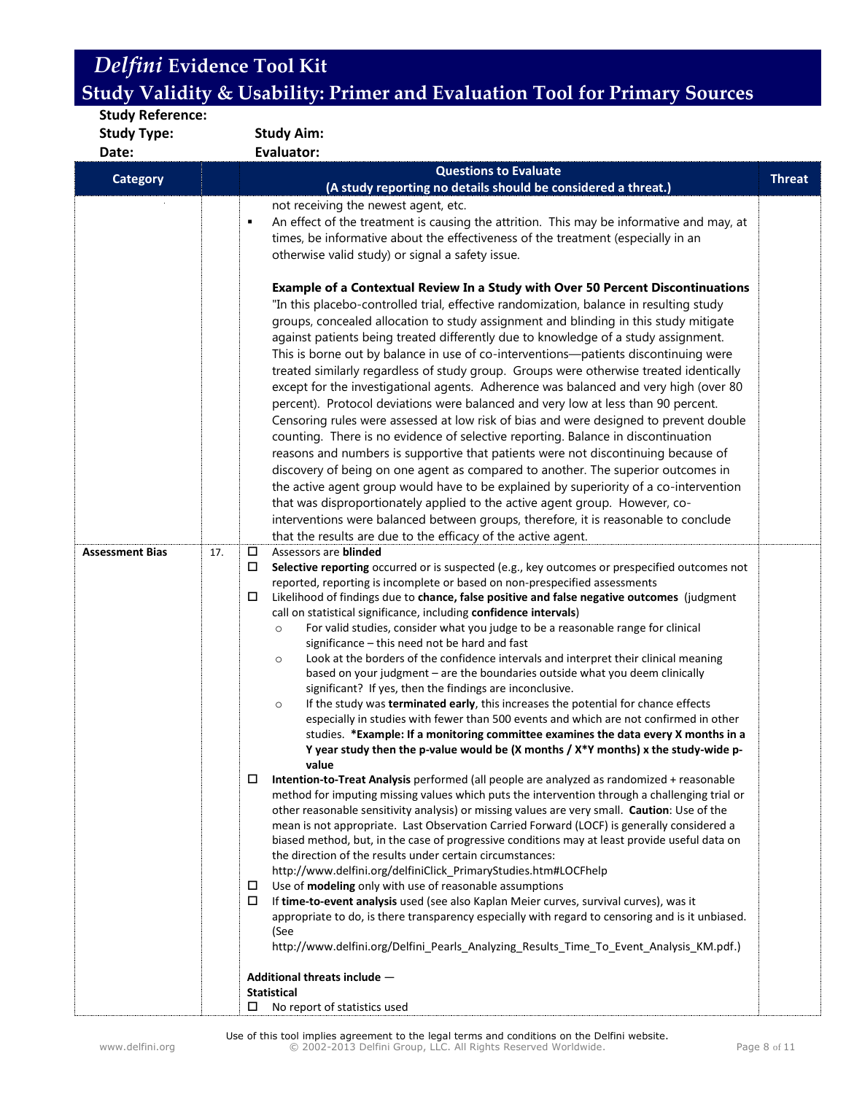| <b>Study Reference:</b> |                   |                                                                                                                                                                                                                                                                                                                                                                                                                                                                                                                                                                                                                                                                                                                                                                                                                                                                                                                                                                                                                                                                                                                                                                                                                                                                                                                                                                                                                                                                                                                                                                                                                                                                                                                                                                                                                                                                                                                                                                                                                                                                                                                                                                                                                                                                                                                                                                                                                                                                                                                                                                                                                                                                                                                                                                                                                                                                                                                                                                                                                                                                                                                                                                                                                                                                                                                                                                                                                                                                                                                                                                                                                                                                                                                                                                                                                                                                                                                                                          |               |  |  |  |
|-------------------------|-------------------|----------------------------------------------------------------------------------------------------------------------------------------------------------------------------------------------------------------------------------------------------------------------------------------------------------------------------------------------------------------------------------------------------------------------------------------------------------------------------------------------------------------------------------------------------------------------------------------------------------------------------------------------------------------------------------------------------------------------------------------------------------------------------------------------------------------------------------------------------------------------------------------------------------------------------------------------------------------------------------------------------------------------------------------------------------------------------------------------------------------------------------------------------------------------------------------------------------------------------------------------------------------------------------------------------------------------------------------------------------------------------------------------------------------------------------------------------------------------------------------------------------------------------------------------------------------------------------------------------------------------------------------------------------------------------------------------------------------------------------------------------------------------------------------------------------------------------------------------------------------------------------------------------------------------------------------------------------------------------------------------------------------------------------------------------------------------------------------------------------------------------------------------------------------------------------------------------------------------------------------------------------------------------------------------------------------------------------------------------------------------------------------------------------------------------------------------------------------------------------------------------------------------------------------------------------------------------------------------------------------------------------------------------------------------------------------------------------------------------------------------------------------------------------------------------------------------------------------------------------------------------------------------------------------------------------------------------------------------------------------------------------------------------------------------------------------------------------------------------------------------------------------------------------------------------------------------------------------------------------------------------------------------------------------------------------------------------------------------------------------------------------------------------------------------------------------------------------------------------------------------------------------------------------------------------------------------------------------------------------------------------------------------------------------------------------------------------------------------------------------------------------------------------------------------------------------------------------------------------------------------------------------------------------------------------------------------------------|---------------|--|--|--|
| <b>Study Type:</b>      | <b>Study Aim:</b> |                                                                                                                                                                                                                                                                                                                                                                                                                                                                                                                                                                                                                                                                                                                                                                                                                                                                                                                                                                                                                                                                                                                                                                                                                                                                                                                                                                                                                                                                                                                                                                                                                                                                                                                                                                                                                                                                                                                                                                                                                                                                                                                                                                                                                                                                                                                                                                                                                                                                                                                                                                                                                                                                                                                                                                                                                                                                                                                                                                                                                                                                                                                                                                                                                                                                                                                                                                                                                                                                                                                                                                                                                                                                                                                                                                                                                                                                                                                                                          |               |  |  |  |
| Date:                   |                   | Evaluator:                                                                                                                                                                                                                                                                                                                                                                                                                                                                                                                                                                                                                                                                                                                                                                                                                                                                                                                                                                                                                                                                                                                                                                                                                                                                                                                                                                                                                                                                                                                                                                                                                                                                                                                                                                                                                                                                                                                                                                                                                                                                                                                                                                                                                                                                                                                                                                                                                                                                                                                                                                                                                                                                                                                                                                                                                                                                                                                                                                                                                                                                                                                                                                                                                                                                                                                                                                                                                                                                                                                                                                                                                                                                                                                                                                                                                                                                                                                                               |               |  |  |  |
| <b>Category</b>         |                   | <b>Questions to Evaluate</b>                                                                                                                                                                                                                                                                                                                                                                                                                                                                                                                                                                                                                                                                                                                                                                                                                                                                                                                                                                                                                                                                                                                                                                                                                                                                                                                                                                                                                                                                                                                                                                                                                                                                                                                                                                                                                                                                                                                                                                                                                                                                                                                                                                                                                                                                                                                                                                                                                                                                                                                                                                                                                                                                                                                                                                                                                                                                                                                                                                                                                                                                                                                                                                                                                                                                                                                                                                                                                                                                                                                                                                                                                                                                                                                                                                                                                                                                                                                             | <b>Threat</b> |  |  |  |
|                         |                   |                                                                                                                                                                                                                                                                                                                                                                                                                                                                                                                                                                                                                                                                                                                                                                                                                                                                                                                                                                                                                                                                                                                                                                                                                                                                                                                                                                                                                                                                                                                                                                                                                                                                                                                                                                                                                                                                                                                                                                                                                                                                                                                                                                                                                                                                                                                                                                                                                                                                                                                                                                                                                                                                                                                                                                                                                                                                                                                                                                                                                                                                                                                                                                                                                                                                                                                                                                                                                                                                                                                                                                                                                                                                                                                                                                                                                                                                                                                                                          |               |  |  |  |
| <b>Assessment Bias</b>  | 17.               | (A study reporting no details should be considered a threat.)<br>not receiving the newest agent, etc.<br>An effect of the treatment is causing the attrition. This may be informative and may, at<br>٠<br>times, be informative about the effectiveness of the treatment (especially in an<br>otherwise valid study) or signal a safety issue.<br>Example of a Contextual Review In a Study with Over 50 Percent Discontinuations<br>"In this placebo-controlled trial, effective randomization, balance in resulting study<br>groups, concealed allocation to study assignment and blinding in this study mitigate<br>against patients being treated differently due to knowledge of a study assignment.<br>This is borne out by balance in use of co-interventions-patients discontinuing were<br>treated similarly regardless of study group. Groups were otherwise treated identically<br>except for the investigational agents. Adherence was balanced and very high (over 80<br>percent). Protocol deviations were balanced and very low at less than 90 percent.<br>Censoring rules were assessed at low risk of bias and were designed to prevent double<br>counting. There is no evidence of selective reporting. Balance in discontinuation<br>reasons and numbers is supportive that patients were not discontinuing because of<br>discovery of being on one agent as compared to another. The superior outcomes in<br>the active agent group would have to be explained by superiority of a co-intervention<br>that was disproportionately applied to the active agent group. However, co-<br>interventions were balanced between groups, therefore, it is reasonable to conclude<br>that the results are due to the efficacy of the active agent.<br>Assessors are blinded<br>□<br>Selective reporting occurred or is suspected (e.g., key outcomes or prespecified outcomes not<br>$\Box$<br>reported, reporting is incomplete or based on non-prespecified assessments<br>Likelihood of findings due to chance, false positive and false negative outcomes (judgment<br>□<br>call on statistical significance, including confidence intervals)<br>For valid studies, consider what you judge to be a reasonable range for clinical<br>$\circ$<br>significance - this need not be hard and fast<br>Look at the borders of the confidence intervals and interpret their clinical meaning<br>$\circ$<br>based on your judgment - are the boundaries outside what you deem clinically<br>significant? If yes, then the findings are inconclusive.<br>If the study was terminated early, this increases the potential for chance effects<br>$\circ$<br>especially in studies with fewer than 500 events and which are not confirmed in other<br>studies. *Example: If a monitoring committee examines the data every X months in a<br>Y year study then the p-value would be (X months / X*Y months) x the study-wide p-<br>value<br>Intention-to-Treat Analysis performed (all people are analyzed as randomized + reasonable<br>ц<br>method for imputing missing values which puts the intervention through a challenging trial or<br>other reasonable sensitivity analysis) or missing values are very small. Caution: Use of the<br>mean is not appropriate. Last Observation Carried Forward (LOCF) is generally considered a<br>biased method, but, in the case of progressive conditions may at least provide useful data on<br>the direction of the results under certain circumstances:<br>http://www.delfini.org/delfiniClick_PrimaryStudies.htm#LOCFhelp<br>Use of modeling only with use of reasonable assumptions<br>$\Box$<br>If time-to-event analysis used (see also Kaplan Meier curves, survival curves), was it<br>0<br>appropriate to do, is there transparency especially with regard to censoring and is it unbiased.<br>(See<br>http://www.delfini.org/Delfini_Pearls_Analyzing_Results_Time_To_Event_Analysis_KM.pdf.) |               |  |  |  |
|                         |                   | Additional threats include -                                                                                                                                                                                                                                                                                                                                                                                                                                                                                                                                                                                                                                                                                                                                                                                                                                                                                                                                                                                                                                                                                                                                                                                                                                                                                                                                                                                                                                                                                                                                                                                                                                                                                                                                                                                                                                                                                                                                                                                                                                                                                                                                                                                                                                                                                                                                                                                                                                                                                                                                                                                                                                                                                                                                                                                                                                                                                                                                                                                                                                                                                                                                                                                                                                                                                                                                                                                                                                                                                                                                                                                                                                                                                                                                                                                                                                                                                                                             |               |  |  |  |
|                         |                   | <b>Statistical</b>                                                                                                                                                                                                                                                                                                                                                                                                                                                                                                                                                                                                                                                                                                                                                                                                                                                                                                                                                                                                                                                                                                                                                                                                                                                                                                                                                                                                                                                                                                                                                                                                                                                                                                                                                                                                                                                                                                                                                                                                                                                                                                                                                                                                                                                                                                                                                                                                                                                                                                                                                                                                                                                                                                                                                                                                                                                                                                                                                                                                                                                                                                                                                                                                                                                                                                                                                                                                                                                                                                                                                                                                                                                                                                                                                                                                                                                                                                                                       |               |  |  |  |
|                         |                   | No report of statistics used<br>□                                                                                                                                                                                                                                                                                                                                                                                                                                                                                                                                                                                                                                                                                                                                                                                                                                                                                                                                                                                                                                                                                                                                                                                                                                                                                                                                                                                                                                                                                                                                                                                                                                                                                                                                                                                                                                                                                                                                                                                                                                                                                                                                                                                                                                                                                                                                                                                                                                                                                                                                                                                                                                                                                                                                                                                                                                                                                                                                                                                                                                                                                                                                                                                                                                                                                                                                                                                                                                                                                                                                                                                                                                                                                                                                                                                                                                                                                                                        |               |  |  |  |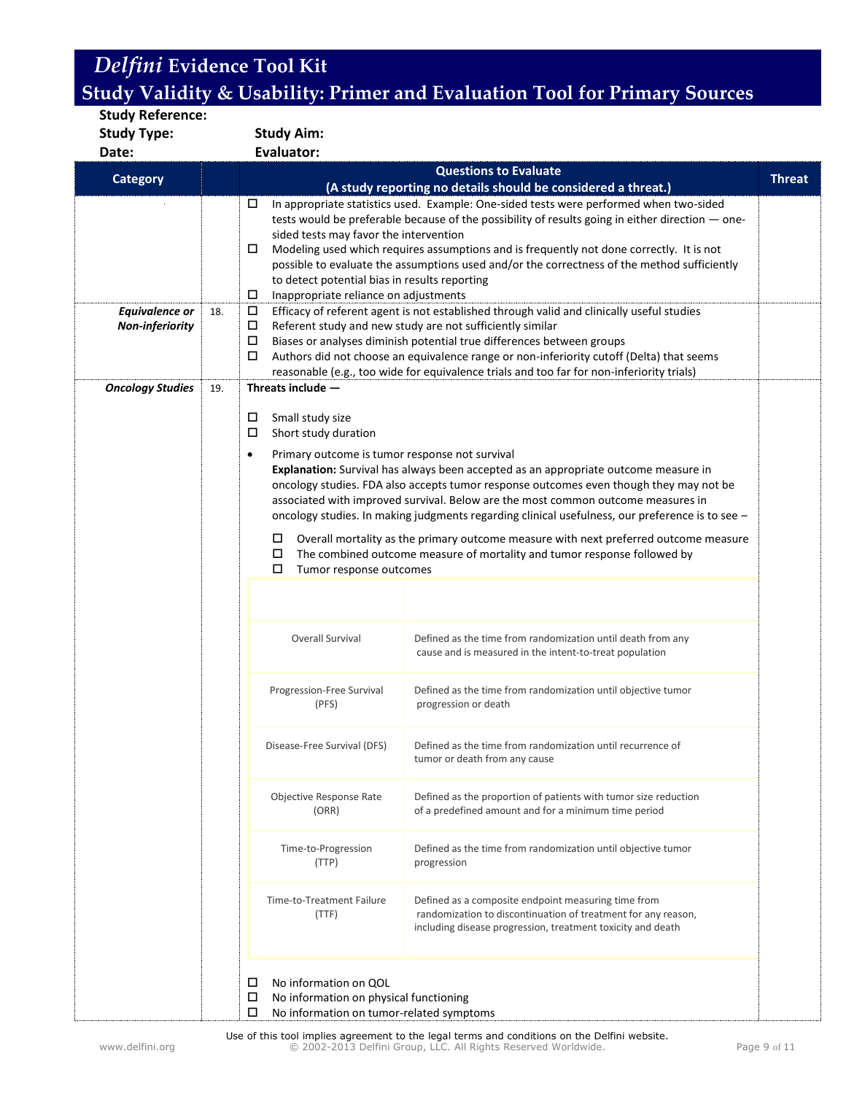| <b>Study Reference:</b> |     |                                                                           |                                                                                                                                                                                     |               |
|-------------------------|-----|---------------------------------------------------------------------------|-------------------------------------------------------------------------------------------------------------------------------------------------------------------------------------|---------------|
| <b>Study Type:</b>      |     | <b>Study Aim:</b>                                                         |                                                                                                                                                                                     |               |
| Date:                   |     | <b>Evaluator:</b>                                                         |                                                                                                                                                                                     |               |
|                         |     |                                                                           | <b>Questions to Evaluate</b>                                                                                                                                                        | <b>Threat</b> |
| <b>Category</b>         |     |                                                                           | (A study reporting no details should be considered a threat.)                                                                                                                       |               |
|                         |     | □                                                                         | In appropriate statistics used. Example: One-sided tests were performed when two-sided                                                                                              |               |
|                         |     |                                                                           | tests would be preferable because of the possibility of results going in either direction - one-                                                                                    |               |
|                         |     | sided tests may favor the intervention<br>0                               | Modeling used which requires assumptions and is frequently not done correctly. It is not                                                                                            |               |
|                         |     |                                                                           | possible to evaluate the assumptions used and/or the correctness of the method sufficiently                                                                                         |               |
|                         |     | to detect potential bias in results reporting                             |                                                                                                                                                                                     |               |
|                         |     | $\Box$<br>Inappropriate reliance on adjustments                           |                                                                                                                                                                                     |               |
| <b>Equivalence or</b>   | 18. | 口                                                                         | Efficacy of referent agent is not established through valid and clinically useful studies                                                                                           |               |
| <b>Non-inferiority</b>  |     | □                                                                         | Referent study and new study are not sufficiently similar                                                                                                                           |               |
|                         |     | $\Box$<br>$\Box$                                                          | Biases or analyses diminish potential true differences between groups<br>Authors did not choose an equivalence range or non-inferiority cutoff (Delta) that seems                   |               |
|                         |     |                                                                           | reasonable (e.g., too wide for equivalence trials and too far for non-inferiority trials)                                                                                           |               |
| <b>Oncology Studies</b> | 19. | Threats include $-$                                                       |                                                                                                                                                                                     |               |
|                         |     |                                                                           |                                                                                                                                                                                     |               |
|                         |     | 口<br>Small study size                                                     |                                                                                                                                                                                     |               |
|                         |     | □<br>Short study duration                                                 |                                                                                                                                                                                     |               |
|                         |     | Primary outcome is tumor response not survival<br>$\bullet$               |                                                                                                                                                                                     |               |
|                         |     |                                                                           | Explanation: Survival has always been accepted as an appropriate outcome measure in                                                                                                 |               |
|                         |     |                                                                           | oncology studies. FDA also accepts tumor response outcomes even though they may not be                                                                                              |               |
|                         |     |                                                                           | associated with improved survival. Below are the most common outcome measures in<br>oncology studies. In making judgments regarding clinical usefulness, our preference is to see - |               |
|                         |     |                                                                           |                                                                                                                                                                                     |               |
|                         |     | $\Box$<br>□                                                               | Overall mortality as the primary outcome measure with next preferred outcome measure                                                                                                |               |
|                         |     | □<br>Tumor response outcomes                                              | The combined outcome measure of mortality and tumor response followed by                                                                                                            |               |
|                         |     |                                                                           |                                                                                                                                                                                     |               |
|                         |     |                                                                           |                                                                                                                                                                                     |               |
|                         |     |                                                                           |                                                                                                                                                                                     |               |
|                         |     | Overall Survival                                                          | Defined as the time from randomization until death from any                                                                                                                         |               |
|                         |     |                                                                           | cause and is measured in the intent-to-treat population                                                                                                                             |               |
|                         |     |                                                                           |                                                                                                                                                                                     |               |
|                         |     | Progression-Free Survival                                                 | Defined as the time from randomization until objective tumor                                                                                                                        |               |
|                         |     | (PFS)                                                                     | progression or death                                                                                                                                                                |               |
|                         |     |                                                                           |                                                                                                                                                                                     |               |
|                         |     | Disease-Free Survival (DFS)                                               | Defined as the time from randomization until recurrence of                                                                                                                          |               |
|                         |     |                                                                           | tumor or death from any cause                                                                                                                                                       |               |
|                         |     |                                                                           |                                                                                                                                                                                     |               |
|                         |     | Objective Response Rate<br>(ORR)                                          | Defined as the proportion of patients with tumor size reduction<br>of a predefined amount and for a minimum time period                                                             |               |
|                         |     |                                                                           |                                                                                                                                                                                     |               |
|                         |     | Time-to-Progression                                                       | Defined as the time from randomization until objective tumor                                                                                                                        |               |
|                         |     | (TTP)                                                                     | progression                                                                                                                                                                         |               |
|                         |     |                                                                           |                                                                                                                                                                                     |               |
|                         |     | Time-to-Treatment Failure                                                 | Defined as a composite endpoint measuring time from                                                                                                                                 |               |
|                         |     | (TTF)                                                                     | randomization to discontinuation of treatment for any reason,                                                                                                                       |               |
|                         |     |                                                                           | including disease progression, treatment toxicity and death                                                                                                                         |               |
|                         |     |                                                                           |                                                                                                                                                                                     |               |
|                         |     |                                                                           |                                                                                                                                                                                     |               |
|                         |     | No information on QOL<br>□<br>口<br>No information on physical functioning |                                                                                                                                                                                     |               |
|                         |     | $\Box$<br>No information on tumor-related symptoms                        |                                                                                                                                                                                     |               |
|                         |     |                                                                           |                                                                                                                                                                                     |               |

Use of this tool implies agreement to the legal terms and conditions on the Delfini website. www.delfini.org © 2002-2013 Delfini Group, LLC. All Rights Reserved Worldwide. Page 9 of 11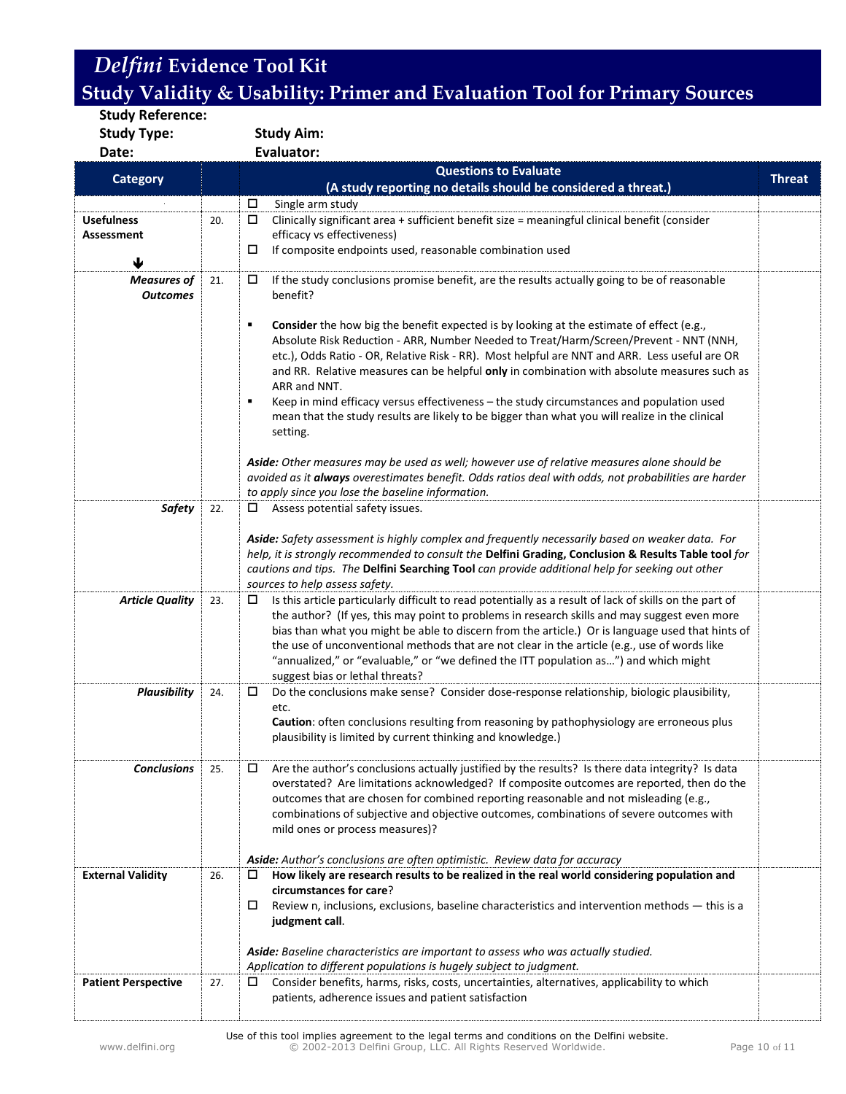**Study Reference: Study Type: Study Aim:**

**Date: Evaluator:**

|                            |     | <b>Questions to Evaluate</b>                                                                                                                                                                                                                                                                                                                                                                                                                                                                                                                                                                                          |               |  |  |
|----------------------------|-----|-----------------------------------------------------------------------------------------------------------------------------------------------------------------------------------------------------------------------------------------------------------------------------------------------------------------------------------------------------------------------------------------------------------------------------------------------------------------------------------------------------------------------------------------------------------------------------------------------------------------------|---------------|--|--|
| <b>Category</b>            |     | (A study reporting no details should be considered a threat.)                                                                                                                                                                                                                                                                                                                                                                                                                                                                                                                                                         | <b>Threat</b> |  |  |
|                            |     | Single arm study<br>□                                                                                                                                                                                                                                                                                                                                                                                                                                                                                                                                                                                                 |               |  |  |
| <b>Usefulness</b>          | 20. | Clinically significant area + sufficient benefit size = meaningful clinical benefit (consider<br>$\Box$                                                                                                                                                                                                                                                                                                                                                                                                                                                                                                               |               |  |  |
| <b>Assessment</b>          |     | efficacy vs effectiveness)                                                                                                                                                                                                                                                                                                                                                                                                                                                                                                                                                                                            |               |  |  |
| ♦                          |     | If composite endpoints used, reasonable combination used<br>□                                                                                                                                                                                                                                                                                                                                                                                                                                                                                                                                                         |               |  |  |
| <b>Measures of</b>         | 21. | If the study conclusions promise benefit, are the results actually going to be of reasonable<br>□                                                                                                                                                                                                                                                                                                                                                                                                                                                                                                                     |               |  |  |
| <b>Outcomes</b>            |     | benefit?                                                                                                                                                                                                                                                                                                                                                                                                                                                                                                                                                                                                              |               |  |  |
|                            |     | Consider the how big the benefit expected is by looking at the estimate of effect (e.g.,<br>٠<br>Absolute Risk Reduction - ARR, Number Needed to Treat/Harm/Screen/Prevent - NNT (NNH,<br>etc.), Odds Ratio - OR, Relative Risk - RR). Most helpful are NNT and ARR. Less useful are OR<br>and RR. Relative measures can be helpful only in combination with absolute measures such as<br>ARR and NNT.<br>Keep in mind efficacy versus effectiveness - the study circumstances and population used<br>п<br>mean that the study results are likely to be bigger than what you will realize in the clinical<br>setting. |               |  |  |
|                            |     | Aside: Other measures may be used as well; however use of relative measures alone should be<br>avoided as it always overestimates benefit. Odds ratios deal with odds, not probabilities are harder<br>to apply since you lose the baseline information.                                                                                                                                                                                                                                                                                                                                                              |               |  |  |
| <b>Safety</b>              | 22. | Assess potential safety issues.                                                                                                                                                                                                                                                                                                                                                                                                                                                                                                                                                                                       |               |  |  |
|                            |     | Aside: Safety assessment is highly complex and frequently necessarily based on weaker data. For<br>help, it is strongly recommended to consult the Delfini Grading, Conclusion & Results Table tool for<br>cautions and tips. The Delfini Searching Tool can provide additional help for seeking out other<br>sources to help assess safety.                                                                                                                                                                                                                                                                          |               |  |  |
| <b>Article Quality</b>     | 23. | Is this article particularly difficult to read potentially as a result of lack of skills on the part of<br>the author? (If yes, this may point to problems in research skills and may suggest even more<br>bias than what you might be able to discern from the article.) Or is language used that hints of<br>the use of unconventional methods that are not clear in the article (e.g., use of words like<br>"annualized," or "evaluable," or "we defined the ITT population as") and which might<br>suggest bias or lethal threats?                                                                                |               |  |  |
| <b>Plausibility</b>        | 24. | Do the conclusions make sense? Consider dose-response relationship, biologic plausibility,<br>etc.<br>Caution: often conclusions resulting from reasoning by pathophysiology are erroneous plus<br>plausibility is limited by current thinking and knowledge.)                                                                                                                                                                                                                                                                                                                                                        |               |  |  |
| <b>Conclusions</b>         | 25. | Are the author's conclusions actually justified by the results? Is there data integrity? Is data<br>□<br>overstated? Are limitations acknowledged? If composite outcomes are reported, then do the<br>outcomes that are chosen for combined reporting reasonable and not misleading (e.g.,<br>combinations of subjective and objective outcomes, combinations of severe outcomes with<br>mild ones or process measures)?<br>Aside: Author's conclusions are often optimistic. Review data for accuracy                                                                                                                |               |  |  |
| <b>External Validity</b>   | 26. | How likely are research results to be realized in the real world considering population and<br>□                                                                                                                                                                                                                                                                                                                                                                                                                                                                                                                      |               |  |  |
|                            |     | circumstances for care?<br>Review n, inclusions, exclusions, baseline characteristics and intervention methods - this is a<br>ц<br>judgment call.<br>Aside: Baseline characteristics are important to assess who was actually studied.<br>Application to different populations is hugely subject to judgment.                                                                                                                                                                                                                                                                                                         |               |  |  |
| <b>Patient Perspective</b> | 27. | Consider benefits, harms, risks, costs, uncertainties, alternatives, applicability to which<br>⊔                                                                                                                                                                                                                                                                                                                                                                                                                                                                                                                      |               |  |  |
|                            |     | patients, adherence issues and patient satisfaction                                                                                                                                                                                                                                                                                                                                                                                                                                                                                                                                                                   |               |  |  |